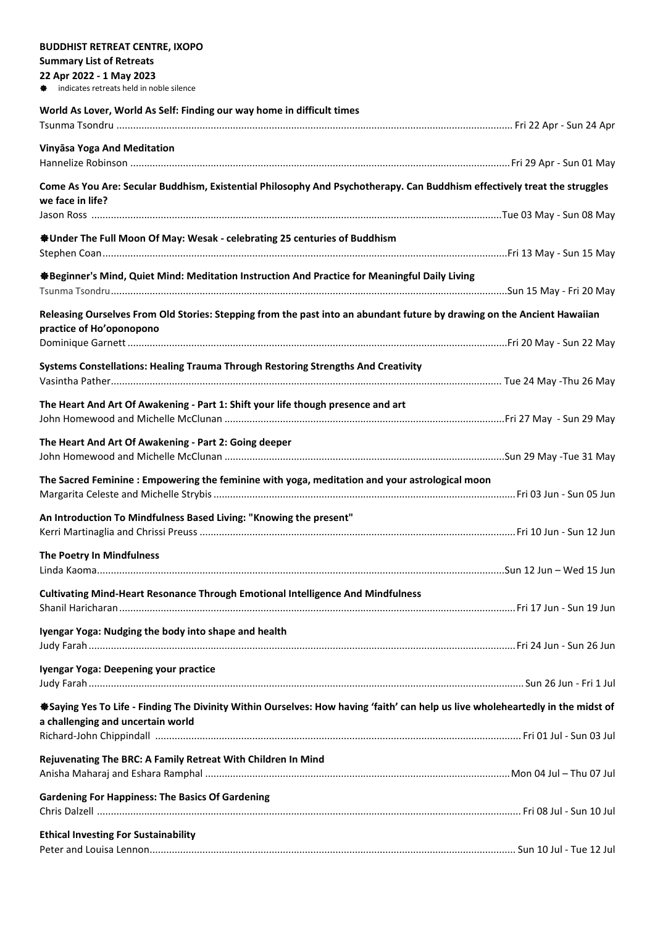| <b>BUDDHIST RETREAT CENTRE, IXOPO</b>                                                                                           |  |
|---------------------------------------------------------------------------------------------------------------------------------|--|
| <b>Summary List of Retreats</b>                                                                                                 |  |
| 22 Apr 2022 - 1 May 2023                                                                                                        |  |
| indicates retreats held in noble silence                                                                                        |  |
| World As Lover, World As Self: Finding our way home in difficult times                                                          |  |
|                                                                                                                                 |  |
| Vinyāsa Yoga And Meditation                                                                                                     |  |
|                                                                                                                                 |  |
|                                                                                                                                 |  |
| Come As You Are: Secular Buddhism, Existential Philosophy And Psychotherapy. Can Buddhism effectively treat the struggles       |  |
| we face in life?                                                                                                                |  |
|                                                                                                                                 |  |
| <b><math>\triangleq</math>Under The Full Moon Of May: Wesak - celebrating 25 centuries of Buddhism</b>                          |  |
|                                                                                                                                 |  |
| ※Beginner's Mind, Quiet Mind: Meditation Instruction And Practice for Meaningful Daily Living                                   |  |
|                                                                                                                                 |  |
|                                                                                                                                 |  |
| Releasing Ourselves From Old Stories: Stepping from the past into an abundant future by drawing on the Ancient Hawaiian         |  |
| practice of Ho'oponopono                                                                                                        |  |
|                                                                                                                                 |  |
| Systems Constellations: Healing Trauma Through Restoring Strengths And Creativity                                               |  |
|                                                                                                                                 |  |
|                                                                                                                                 |  |
| The Heart And Art Of Awakening - Part 1: Shift your life though presence and art                                                |  |
|                                                                                                                                 |  |
| The Heart And Art Of Awakening - Part 2: Going deeper                                                                           |  |
|                                                                                                                                 |  |
| The Sacred Feminine : Empowering the feminine with yoga, meditation and your astrological moon                                  |  |
|                                                                                                                                 |  |
|                                                                                                                                 |  |
| An Introduction To Mindfulness Based Living: "Knowing the present"                                                              |  |
|                                                                                                                                 |  |
| The Poetry In Mindfulness                                                                                                       |  |
|                                                                                                                                 |  |
| Cultivating Mind-Heart Resonance Through Emotional Intelligence And Mindfulness                                                 |  |
|                                                                                                                                 |  |
|                                                                                                                                 |  |
| Iyengar Yoga: Nudging the body into shape and health                                                                            |  |
|                                                                                                                                 |  |
| Iyengar Yoga: Deepening your practice                                                                                           |  |
|                                                                                                                                 |  |
| *Saying Yes To Life - Finding The Divinity Within Ourselves: How having 'faith' can help us live wholeheartedly in the midst of |  |
| a challenging and uncertain world                                                                                               |  |
|                                                                                                                                 |  |
|                                                                                                                                 |  |
| Rejuvenating The BRC: A Family Retreat With Children In Mind                                                                    |  |
|                                                                                                                                 |  |
| <b>Gardening For Happiness: The Basics Of Gardening</b>                                                                         |  |
|                                                                                                                                 |  |
| <b>Ethical Investing For Sustainability</b>                                                                                     |  |
|                                                                                                                                 |  |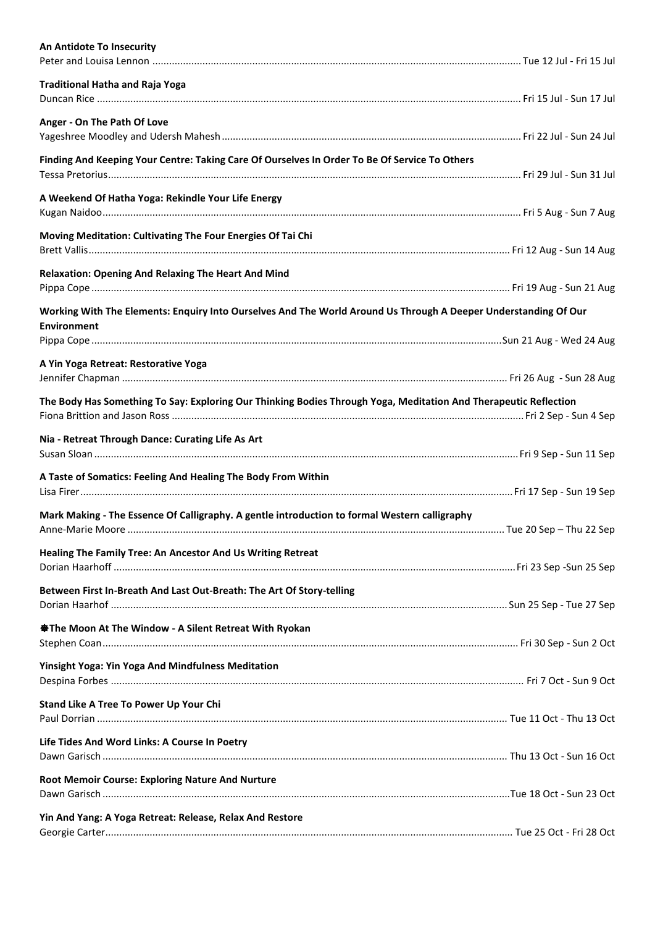| An Antidote To Insecurity                                                                                                             |  |
|---------------------------------------------------------------------------------------------------------------------------------------|--|
| <b>Traditional Hatha and Raja Yoga</b>                                                                                                |  |
| Anger - On The Path Of Love                                                                                                           |  |
| Finding And Keeping Your Centre: Taking Care Of Ourselves In Order To Be Of Service To Others                                         |  |
| A Weekend Of Hatha Yoga: Rekindle Your Life Energy                                                                                    |  |
| Moving Meditation: Cultivating The Four Energies Of Tai Chi                                                                           |  |
| <b>Relaxation: Opening And Relaxing The Heart And Mind</b>                                                                            |  |
| Working With The Elements: Enquiry Into Ourselves And The World Around Us Through A Deeper Understanding Of Our<br><b>Environment</b> |  |
|                                                                                                                                       |  |
| A Yin Yoga Retreat: Restorative Yoga                                                                                                  |  |
| The Body Has Something To Say: Exploring Our Thinking Bodies Through Yoga, Meditation And Therapeutic Reflection                      |  |
| Nia - Retreat Through Dance: Curating Life As Art                                                                                     |  |
| A Taste of Somatics: Feeling And Healing The Body From Within                                                                         |  |
| Mark Making - The Essence Of Calligraphy. A gentle introduction to formal Western calligraphy                                         |  |
| Healing The Family Tree: An Ancestor And Us Writing Retreat                                                                           |  |
| Between First In-Breath And Last Out-Breath: The Art Of Story-telling                                                                 |  |
| <b>Statuber 15 The Window - A Silent Retreat With Ryokan</b>                                                                          |  |
| <b>Yinsight Yoga: Yin Yoga And Mindfulness Meditation</b>                                                                             |  |
| Stand Like A Tree To Power Up Your Chi                                                                                                |  |
| Life Tides And Word Links: A Course In Poetry                                                                                         |  |
| Root Memoir Course: Exploring Nature And Nurture                                                                                      |  |
| Yin And Yang: A Yoga Retreat: Release, Relax And Restore                                                                              |  |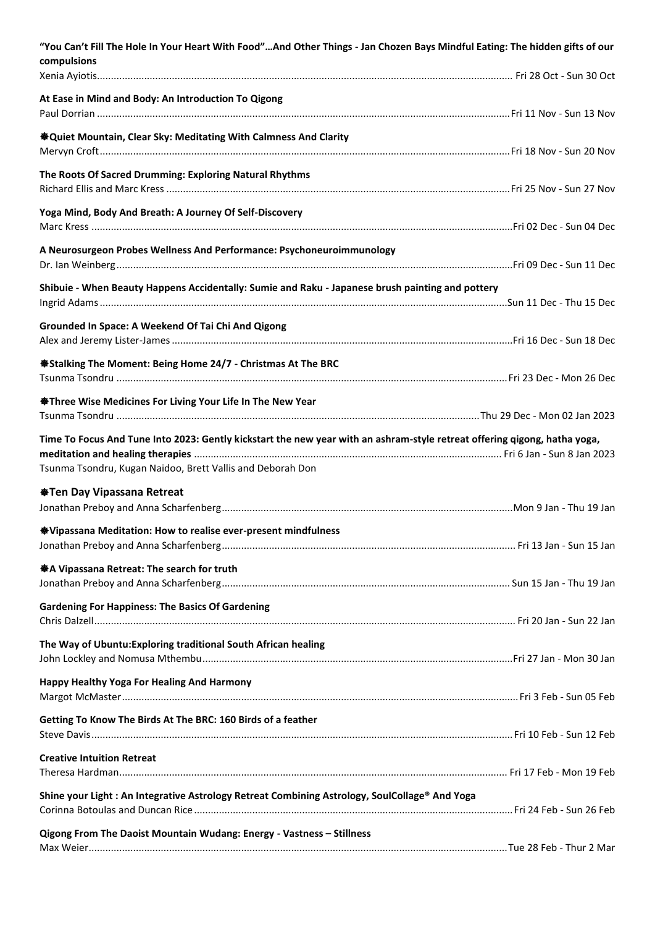| "You Can't Fill The Hole In Your Heart With Food"And Other Things - Jan Chozen Bays Mindful Eating: The hidden gifts of our<br>compulsions                                              |  |
|-----------------------------------------------------------------------------------------------------------------------------------------------------------------------------------------|--|
| At Ease in Mind and Body: An Introduction To Qigong                                                                                                                                     |  |
| <b>&amp; Quiet Mountain, Clear Sky: Meditating With Calmness And Clarity</b>                                                                                                            |  |
| The Roots Of Sacred Drumming: Exploring Natural Rhythms                                                                                                                                 |  |
| Yoga Mind, Body And Breath: A Journey Of Self-Discovery                                                                                                                                 |  |
| A Neurosurgeon Probes Wellness And Performance: Psychoneuroimmunology                                                                                                                   |  |
| Shibuie - When Beauty Happens Accidentally: Sumie and Raku - Japanese brush painting and pottery                                                                                        |  |
| Grounded In Space: A Weekend Of Tai Chi And Qigong                                                                                                                                      |  |
| <b>Stalking The Moment: Being Home 24/7 - Christmas At The BRC</b>                                                                                                                      |  |
| <b>Statuber 15 The Septem Section Section</b> Fire In The New Year                                                                                                                      |  |
| Time To Focus And Tune Into 2023: Gently kickstart the new year with an ashram-style retreat offering qigong, hatha yoga,<br>Tsunma Tsondru, Kugan Naidoo, Brett Vallis and Deborah Don |  |
| <b>Manushi Property Property</b> Properts Article Article Article Article Article Article                                                                                               |  |
| <sup>※</sup> Vipassana Meditation: How to realise ever-present mindfulness                                                                                                              |  |
| ※ A Vipassana Retreat: The search for truth                                                                                                                                             |  |
| <b>Gardening For Happiness: The Basics Of Gardening</b>                                                                                                                                 |  |
| The Way of Ubuntu: Exploring traditional South African healing                                                                                                                          |  |
| Happy Healthy Yoga For Healing And Harmony                                                                                                                                              |  |
| Getting To Know The Birds At The BRC: 160 Birds of a feather                                                                                                                            |  |
| <b>Creative Intuition Retreat</b>                                                                                                                                                       |  |
| Shine your Light: An Integrative Astrology Retreat Combining Astrology, SoulCollage® And Yoga                                                                                           |  |
| Qigong From The Daoist Mountain Wudang: Energy - Vastness - Stillness                                                                                                                   |  |